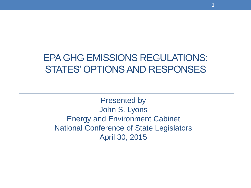#### EPA GHG EMISSIONS REGULATIONS: STATES' OPTIONS AND RESPONSES

**1**

Presented by John S. Lyons Energy and Environment Cabinet National Conference of State Legislators April 30, 2015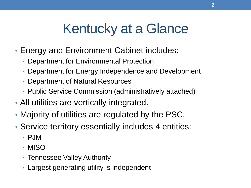# Kentucky at a Glance

- Energy and Environment Cabinet includes:
	- Department for Environmental Protection
	- Department for Energy Independence and Development
	- Department of Natural Resources
	- Public Service Commission (administratively attached)
- All utilities are vertically integrated.
- Majority of utilities are regulated by the PSC.
- Service territory essentially includes 4 entities:
	- PJM
	- MISO
	- Tennessee Valley Authority
	- Largest generating utility is independent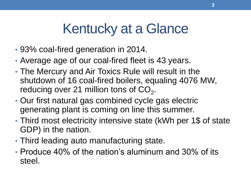# Kentucky at a Glance

- 93% coal-fired generation in 2014.
- Average age of our coal-fired fleet is 43 years.
- The Mercury and Air Toxics Rule will result in the shutdown of 16 coal-fired boilers, equaling 4076 MW, reducing over 21 million tons of  $CO_2$ .
- Our first natural gas combined cycle gas electric generating plant is coming on line this summer.
- Third most electricity intensive state (kWh per 1\$ of state GDP) in the nation.
- Third leading auto manufacturing state.
- Produce 40% of the nation's aluminum and 30% of its steel.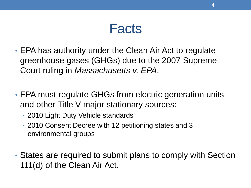#### Facts

- EPA has authority under the Clean Air Act to regulate greenhouse gases (GHGs) due to the 2007 Supreme Court ruling in *Massachusetts v. EPA*.
- EPA must regulate GHGs from electric generation units and other Title V major stationary sources:
	- 2010 Light Duty Vehicle standards
	- 2010 Consent Decree with 12 petitioning states and 3 environmental groups
- States are required to submit plans to comply with Section 111(d) of the Clean Air Act.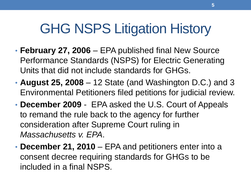## GHG NSPS Litigation History

- **February 27, 2006**  EPA published final New Source Performance Standards (NSPS) for Electric Generating Units that did not include standards for GHGs.
- **August 25, 2008**  12 State (and Washington D.C.) and 3 Environmental Petitioners filed petitions for judicial review.
- **December 2009**  EPA asked the U.S. Court of Appeals to remand the rule back to the agency for further consideration after Supreme Court ruling in *Massachusetts v. EPA*.
- **December 21, 2010**  EPA and petitioners enter into a consent decree requiring standards for GHGs to be included in a final NSPS.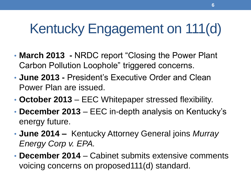# Kentucky Engagement on 111(d)

- **March 2013 -** NRDC report "Closing the Power Plant Carbon Pollution Loophole" triggered concerns.
- **June 2013 -** President's Executive Order and Clean Power Plan are issued.
- **October 2013** EEC Whitepaper stressed flexibility.
- **December 2013**  EEC in-depth analysis on Kentucky's energy future.
- **June 2014 –** Kentucky Attorney General joins *Murray Energy Corp v. EPA.*
- **December 2014**  Cabinet submits extensive comments voicing concerns on proposed111(d) standard.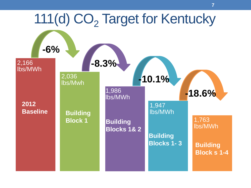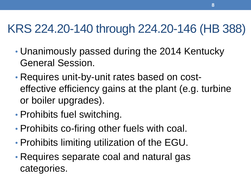#### KRS 224.20-140 through 224.20-146 (HB 388)

- Unanimously passed during the 2014 Kentucky General Session.
- Requires unit-by-unit rates based on costeffective efficiency gains at the plant (e.g. turbine or boiler upgrades).
- Prohibits fuel switching.
- Prohibits co-firing other fuels with coal.
- Prohibits limiting utilization of the EGU.
- Requires separate coal and natural gas categories.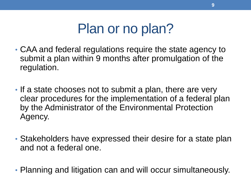### Plan or no plan?

- CAA and federal regulations require the state agency to submit a plan within 9 months after promulgation of the regulation.
- If a state chooses not to submit a plan, there are very clear procedures for the implementation of a federal plan by the Administrator of the Environmental Protection Agency.
- Stakeholders have expressed their desire for a state plan and not a federal one.
- Planning and litigation can and will occur simultaneously.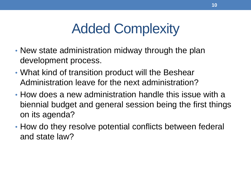# Added Complexity

- New state administration midway through the plan development process.
- What kind of transition product will the Beshear Administration leave for the next administration?
- How does a new administration handle this issue with a biennial budget and general session being the first things on its agenda?
- How do they resolve potential conflicts between federal and state law?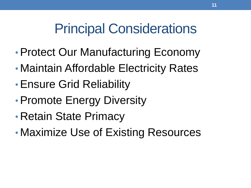# Principal Considerations

- •Protect Our Manufacturing Economy
- Maintain Affordable Electricity Rates
- •Ensure Grid Reliability
- Promote Energy Diversity
- Retain State Primacy
- Maximize Use of Existing Resources